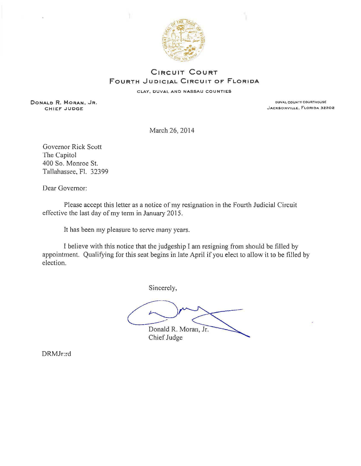

## **CIRCUIT COURT FouRTH JuDICIAL CIRCUIT OF FLORIDA**

CLAY, DUVAL AND NASSAU COUNTIES

**DONALD R. MORAN,** JR. DUVAL COUNTY COUFlTHDUSt:

JACKSONVILLE, FLORIDA 32202

March 26, 2014

Governor Rick Scott The Capitol 400 So. Monroe St. Tallahassee, Fl. 32399

Dear Governor:

Please accept this letter as a notice of my resignation in the Fourth Judicial Circuit effective the last day of my term in January 2015.

It has been my pleasure to serve many years.

I believe with this notice that the judgeship I am resigning from should be filled by appointment. Qualifying for this seat begins in late April if you elect to allow it to be filled by election.

Sincerely,

Donald R. Moran, Jr.

Chief Judge

DRMJr:rd